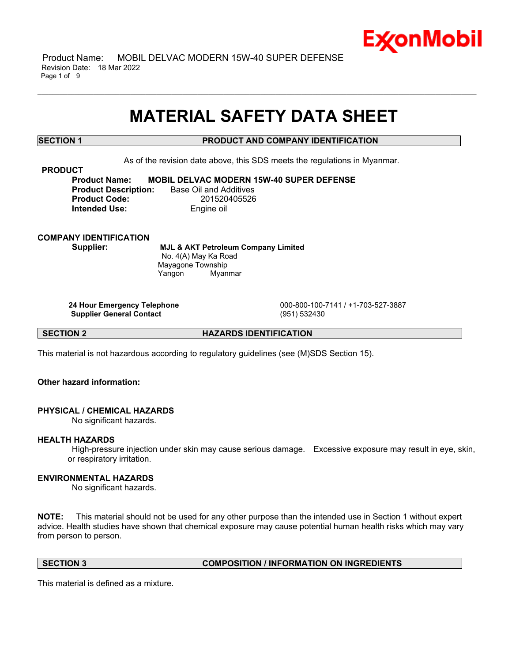

 Product Name: MOBIL DELVAC MODERN 15W-40 SUPER DEFENSE Revision Date: 18 Mar 2022 Page 1 of 9

# **MATERIAL SAFETY DATA SHEET**

\_\_\_\_\_\_\_\_\_\_\_\_\_\_\_\_\_\_\_\_\_\_\_\_\_\_\_\_\_\_\_\_\_\_\_\_\_\_\_\_\_\_\_\_\_\_\_\_\_\_\_\_\_\_\_\_\_\_\_\_\_\_\_\_\_\_\_\_\_\_\_\_\_\_\_\_\_\_\_\_\_\_\_\_\_\_\_\_\_\_\_\_\_\_\_\_\_\_\_\_\_\_\_\_\_\_\_\_\_\_\_\_\_\_\_\_\_\_

# **SECTION 1 PRODUCT AND COMPANY IDENTIFICATION**

As of the revision date above, this SDS meets the regulations in Myanmar.

### **PRODUCT**

**Product Name: MOBIL DELVAC MODERN 15W-40 SUPER DEFENSE Product Description:** Base Oil and Additives **Product Code:** 201520405526 **Intended Use:** Engine oil

**COMPANY IDENTIFICATION**

**Supplier: MJL & AKT Petroleum Company Limited** No. 4(A) May Ka Road Mayagone Township Yangon Myanmar

**Supplier General Contact** (951) 532430

**24 Hour Emergency Telephone** 000-800-100-7141 / +1-703-527-3887

**SECTION 2 HAZARDS IDENTIFICATION**

This material is not hazardous according to regulatory guidelines (see (M)SDS Section 15).

**Other hazard information:**

# **PHYSICAL / CHEMICAL HAZARDS**

No significant hazards.

#### **HEALTH HAZARDS**

High-pressure injection under skin may cause serious damage. Excessive exposure may result in eye, skin, or respiratory irritation.

# **ENVIRONMENTAL HAZARDS**

No significant hazards.

**NOTE:** This material should not be used for any other purpose than the intended use in Section 1 without expert advice. Health studies have shown that chemical exposure may cause potential human health risks which may vary from person to person.

# **SECTION 3 COMPOSITION / INFORMATION ON INGREDIENTS**

This material is defined as a mixture.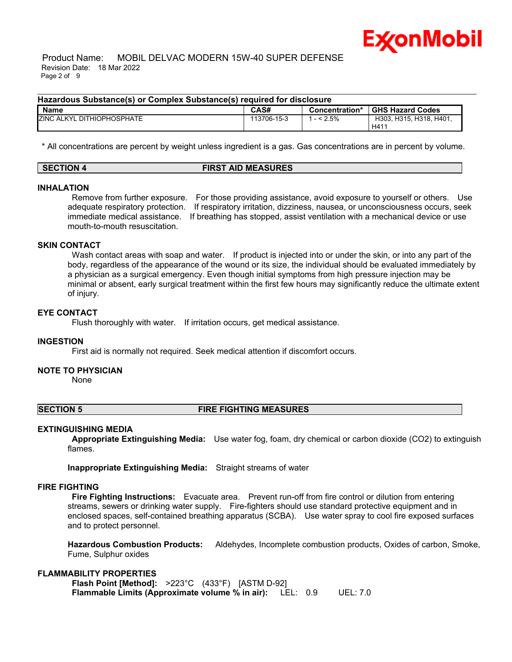

 Product Name: MOBIL DELVAC MODERN 15W-40 SUPER DEFENSE Revision Date: 18 Mar 2022 Page 2 of 9

#### **Hazardous Substance(s) or Complex Substance(s) required for disclosure**

| <b>Name</b>                     | CAS#        | Concentration* | <b>GHS Hazard Codes</b> |
|---------------------------------|-------------|----------------|-------------------------|
| ZINC ALKYL<br>. DITHIOPHOSPHATE | 113706-15-3 | $< 2.5\%$      | H303, H315, H318, H401, |
|                                 |             |                | H41                     |

\_\_\_\_\_\_\_\_\_\_\_\_\_\_\_\_\_\_\_\_\_\_\_\_\_\_\_\_\_\_\_\_\_\_\_\_\_\_\_\_\_\_\_\_\_\_\_\_\_\_\_\_\_\_\_\_\_\_\_\_\_\_\_\_\_\_\_\_\_\_\_\_\_\_\_\_\_\_\_\_\_\_\_\_\_\_\_\_\_\_\_\_\_\_\_\_\_\_\_\_\_\_\_\_\_\_\_\_\_\_\_\_\_\_\_\_\_\_

\* All concentrations are percent by weight unless ingredient is a gas. Gas concentrations are in percent by volume.

| <b>SECTION</b> | <b>FIRST AID MEASURES</b> |  |
|----------------|---------------------------|--|
|                |                           |  |

#### **INHALATION**

Remove from further exposure. For those providing assistance, avoid exposure to yourself or others. Use adequate respiratory protection. If respiratory irritation, dizziness, nausea, or unconsciousness occurs, seek immediate medical assistance. If breathing has stopped, assist ventilation with a mechanical device or use mouth-to-mouth resuscitation.

#### **SKIN CONTACT**

Wash contact areas with soap and water. If product is injected into or under the skin, or into any part of the body, regardless of the appearance of the wound or its size, the individual should be evaluated immediately by a physician as a surgical emergency. Even though initial symptoms from high pressure injection may be minimal or absent, early surgical treatment within the first few hours may significantly reduce the ultimate extent of injury.

### **EYE CONTACT**

Flush thoroughly with water. If irritation occurs, get medical assistance.

#### **INGESTION**

First aid is normally not required. Seek medical attention if discomfort occurs.

#### **NOTE TO PHYSICIAN**

None

# **SECTION 5 FIRE FIGHTING MEASURES**

#### **EXTINGUISHING MEDIA**

**Appropriate Extinguishing Media:** Use water fog, foam, dry chemical or carbon dioxide (CO2) to extinguish flames.

**Inappropriate Extinguishing Media:** Straight streams of water

#### **FIRE FIGHTING**

**Fire Fighting Instructions:** Evacuate area. Prevent run-off from fire control or dilution from entering streams, sewers or drinking water supply. Fire-fighters should use standard protective equipment and in enclosed spaces, self-contained breathing apparatus (SCBA). Use water spray to cool fire exposed surfaces and to protect personnel.

**Hazardous Combustion Products:** Aldehydes, Incomplete combustion products, Oxides of carbon, Smoke, Fume, Sulphur oxides

#### **FLAMMABILITY PROPERTIES**

**Flash Point [Method]:** >223°C (433°F) [ASTM D-92] **Flammable Limits (Approximate volume % in air):** LEL: 0.9 UEL: 7.0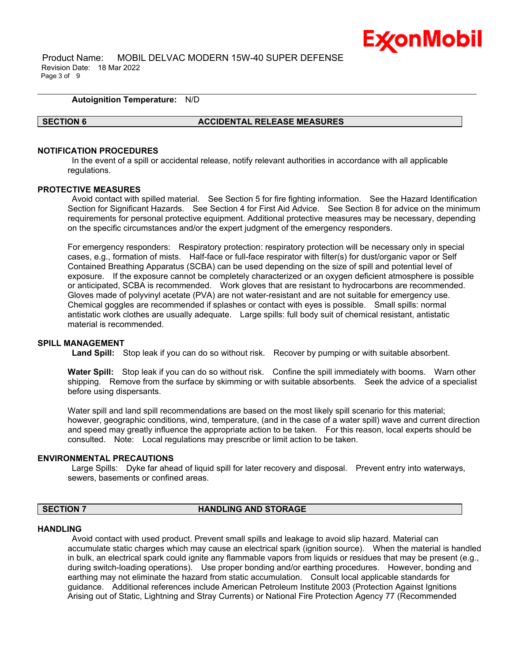

 Product Name: MOBIL DELVAC MODERN 15W-40 SUPER DEFENSE Revision Date: 18 Mar 2022 Page 3 of 9

#### **Autoignition Temperature:** N/D

#### **SECTION 6 ACCIDENTAL RELEASE MEASURES**

\_\_\_\_\_\_\_\_\_\_\_\_\_\_\_\_\_\_\_\_\_\_\_\_\_\_\_\_\_\_\_\_\_\_\_\_\_\_\_\_\_\_\_\_\_\_\_\_\_\_\_\_\_\_\_\_\_\_\_\_\_\_\_\_\_\_\_\_\_\_\_\_\_\_\_\_\_\_\_\_\_\_\_\_\_\_\_\_\_\_\_\_\_\_\_\_\_\_\_\_\_\_\_\_\_\_\_\_\_\_\_\_\_\_\_\_\_\_

### **NOTIFICATION PROCEDURES**

In the event of a spill or accidental release, notify relevant authorities in accordance with all applicable regulations.

### **PROTECTIVE MEASURES**

Avoid contact with spilled material. See Section 5 for fire fighting information. See the Hazard Identification Section for Significant Hazards. See Section 4 for First Aid Advice. See Section 8 for advice on the minimum requirements for personal protective equipment. Additional protective measures may be necessary, depending on the specific circumstances and/or the expert judgment of the emergency responders.

For emergency responders: Respiratory protection: respiratory protection will be necessary only in special cases, e.g., formation of mists. Half-face or full-face respirator with filter(s) for dust/organic vapor or Self Contained Breathing Apparatus (SCBA) can be used depending on the size of spill and potential level of exposure. If the exposure cannot be completely characterized or an oxygen deficient atmosphere is possible or anticipated, SCBA is recommended. Work gloves that are resistant to hydrocarbons are recommended. Gloves made of polyvinyl acetate (PVA) are not water-resistant and are not suitable for emergency use. Chemical goggles are recommended if splashes or contact with eyes is possible. Small spills: normal antistatic work clothes are usually adequate. Large spills: full body suit of chemical resistant, antistatic material is recommended.

#### **SPILL MANAGEMENT**

**Land Spill:** Stop leak if you can do so without risk. Recover by pumping or with suitable absorbent.

**Water Spill:** Stop leak if you can do so without risk. Confine the spill immediately with booms. Warn other shipping. Remove from the surface by skimming or with suitable absorbents. Seek the advice of a specialist before using dispersants.

Water spill and land spill recommendations are based on the most likely spill scenario for this material; however, geographic conditions, wind, temperature, (and in the case of a water spill) wave and current direction and speed may greatly influence the appropriate action to be taken. For this reason, local experts should be consulted. Note: Local regulations may prescribe or limit action to be taken.

#### **ENVIRONMENTAL PRECAUTIONS**

Large Spills: Dyke far ahead of liquid spill for later recovery and disposal. Prevent entry into waterways, sewers, basements or confined areas.

#### **SECTION 7 HANDLING AND STORAGE**

#### **HANDLING**

Avoid contact with used product. Prevent small spills and leakage to avoid slip hazard. Material can accumulate static charges which may cause an electrical spark (ignition source). When the material is handled in bulk, an electrical spark could ignite any flammable vapors from liquids or residues that may be present (e.g., during switch-loading operations). Use proper bonding and/or earthing procedures. However, bonding and earthing may not eliminate the hazard from static accumulation. Consult local applicable standards for guidance. Additional references include American Petroleum Institute 2003 (Protection Against Ignitions Arising out of Static, Lightning and Stray Currents) or National Fire Protection Agency 77 (Recommended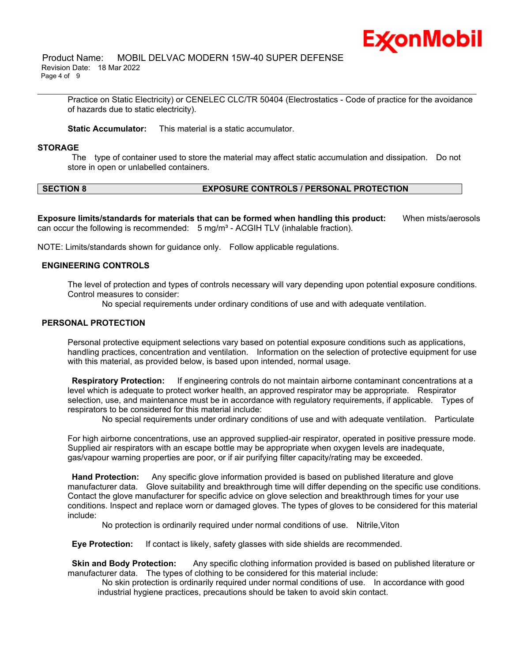

Practice on Static Electricity) or CENELEC CLC/TR 50404 (Electrostatics - Code of practice for the avoidance of hazards due to static electricity).

\_\_\_\_\_\_\_\_\_\_\_\_\_\_\_\_\_\_\_\_\_\_\_\_\_\_\_\_\_\_\_\_\_\_\_\_\_\_\_\_\_\_\_\_\_\_\_\_\_\_\_\_\_\_\_\_\_\_\_\_\_\_\_\_\_\_\_\_\_\_\_\_\_\_\_\_\_\_\_\_\_\_\_\_\_\_\_\_\_\_\_\_\_\_\_\_\_\_\_\_\_\_\_\_\_\_\_\_\_\_\_\_\_\_\_\_\_\_

**Static Accumulator:** This material is a static accumulator.

#### **STORAGE**

The type of container used to store the material may affect static accumulation and dissipation. Do not store in open or unlabelled containers.

# **SECTION 8 EXPOSURE CONTROLS / PERSONAL PROTECTION**

**Exposure limits/standards for materials that can be formed when handling this product:** When mists/aerosols can occur the following is recommended:  $5 \text{ mg/m}^3$  - ACGIH TLV (inhalable fraction).

NOTE: Limits/standards shown for guidance only. Follow applicable regulations.

#### **ENGINEERING CONTROLS**

The level of protection and types of controls necessary will vary depending upon potential exposure conditions. Control measures to consider:

No special requirements under ordinary conditions of use and with adequate ventilation.

# **PERSONAL PROTECTION**

Personal protective equipment selections vary based on potential exposure conditions such as applications, handling practices, concentration and ventilation. Information on the selection of protective equipment for use with this material, as provided below, is based upon intended, normal usage.

**Respiratory Protection:** If engineering controls do not maintain airborne contaminant concentrations at a level which is adequate to protect worker health, an approved respirator may be appropriate. Respirator selection, use, and maintenance must be in accordance with regulatory requirements, if applicable. Types of respirators to be considered for this material include:

No special requirements under ordinary conditions of use and with adequate ventilation. Particulate

For high airborne concentrations, use an approved supplied-air respirator, operated in positive pressure mode. Supplied air respirators with an escape bottle may be appropriate when oxygen levels are inadequate, gas/vapour warning properties are poor, or if air purifying filter capacity/rating may be exceeded.

**Hand Protection:** Any specific glove information provided is based on published literature and glove manufacturer data. Glove suitability and breakthrough time will differ depending on the specific use conditions. Contact the glove manufacturer for specific advice on glove selection and breakthrough times for your use conditions. Inspect and replace worn or damaged gloves. The types of gloves to be considered for this material include:

No protection is ordinarily required under normal conditions of use. Nitrile,Viton

**Eye Protection:** If contact is likely, safety glasses with side shields are recommended.

**Skin and Body Protection:** Any specific clothing information provided is based on published literature or manufacturer data. The types of clothing to be considered for this material include:

No skin protection is ordinarily required under normal conditions of use. In accordance with good industrial hygiene practices, precautions should be taken to avoid skin contact.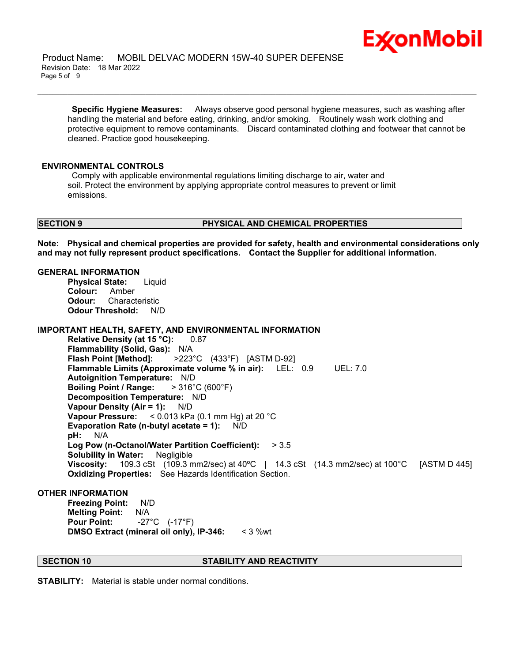

 Product Name: MOBIL DELVAC MODERN 15W-40 SUPER DEFENSE Revision Date: 18 Mar 2022 Page 5 of 9

**Specific Hygiene Measures:** Always observe good personal hygiene measures, such as washing after handling the material and before eating, drinking, and/or smoking. Routinely wash work clothing and protective equipment to remove contaminants. Discard contaminated clothing and footwear that cannot be cleaned. Practice good housekeeping.

\_\_\_\_\_\_\_\_\_\_\_\_\_\_\_\_\_\_\_\_\_\_\_\_\_\_\_\_\_\_\_\_\_\_\_\_\_\_\_\_\_\_\_\_\_\_\_\_\_\_\_\_\_\_\_\_\_\_\_\_\_\_\_\_\_\_\_\_\_\_\_\_\_\_\_\_\_\_\_\_\_\_\_\_\_\_\_\_\_\_\_\_\_\_\_\_\_\_\_\_\_\_\_\_\_\_\_\_\_\_\_\_\_\_\_\_\_\_

#### **ENVIRONMENTAL CONTROLS**

Comply with applicable environmental regulations limiting discharge to air, water and soil. Protect the environment by applying appropriate control measures to prevent or limit emissions.

#### **SECTION 9 PHYSICAL AND CHEMICAL PROPERTIES**

**Note: Physical and chemical properties are provided for safety, health and environmental considerations only and may not fully represent product specifications. Contact the Supplier for additional information.**

# **GENERAL INFORMATION**

**Physical State:** Liquid **Colour:** Amber **Odour:** Characteristic **Odour Threshold:** N/D

**IMPORTANT HEALTH, SAFETY, AND ENVIRONMENTAL INFORMATION**

**Relative Density (at 15 °C):** 0.87 **Flammability (Solid, Gas):** N/A **Flash Point [Method]:** >223°C (433°F) [ASTM D-92] **Flammable Limits (Approximate volume % in air):** LEL: 0.9 UEL: 7.0 **Autoignition Temperature:** N/D **Boiling Point / Range:** > 316°C (600°F) **Decomposition Temperature:** N/D **Vapour Density (Air = 1):** N/D **Vapour Pressure:** < 0.013 kPa (0.1 mm Hg) at 20 °C **Evaporation Rate (n-butyl acetate = 1):** N/D **pH:** N/A **Log Pow (n-Octanol/Water Partition Coefficient):** > 3.5 **Solubility in Water:** Negligible **Viscosity:** 109.3 cSt (109.3 mm2/sec) at 40ºC | 14.3 cSt (14.3 mm2/sec) at 100°C [ASTM D 445] **Oxidizing Properties:** See Hazards Identification Section.

# **OTHER INFORMATION**

**Freezing Point:** N/D **Melting Point:** N/A **Pour Point:** -27°C (-17°F) **DMSO Extract (mineral oil only), IP-346:** < 3 %wt

### **SECTION 10 STABILITY AND REACTIVITY**

**STABILITY:** Material is stable under normal conditions.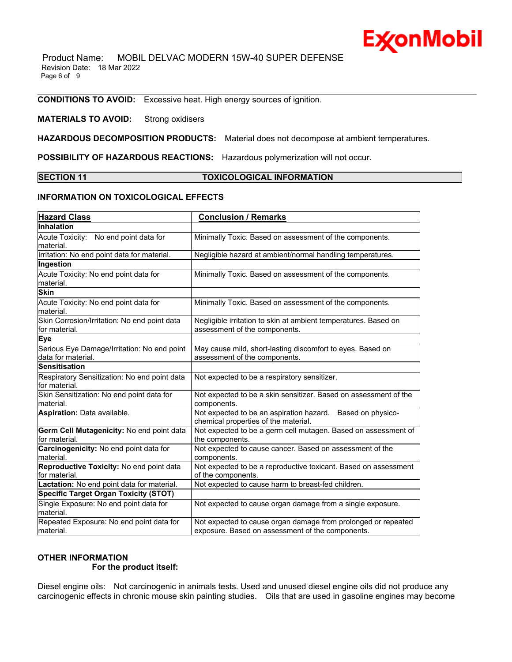Product Name: MOBIL DELVAC MODERN 15W-40 SUPER DEFENSE Revision Date: 18 Mar 2022 Page 6 of 9

**CONDITIONS TO AVOID:** Excessive heat. High energy sources of ignition.

# **MATERIALS TO AVOID:** Strong oxidisers

**HAZARDOUS DECOMPOSITION PRODUCTS:** Material does not decompose at ambient temperatures.

**POSSIBILITY OF HAZARDOUS REACTIONS:** Hazardous polymerization will not occur.

### **SECTION 11 TOXICOLOGICAL INFORMATION**

\_\_\_\_\_\_\_\_\_\_\_\_\_\_\_\_\_\_\_\_\_\_\_\_\_\_\_\_\_\_\_\_\_\_\_\_\_\_\_\_\_\_\_\_\_\_\_\_\_\_\_\_\_\_\_\_\_\_\_\_\_\_\_\_\_\_\_\_\_\_\_\_\_\_\_\_\_\_\_\_\_\_\_\_\_\_\_\_\_\_\_\_\_\_\_\_\_\_\_\_\_\_\_\_\_\_\_\_\_\_\_\_\_\_\_\_\_\_

# **INFORMATION ON TOXICOLOGICAL EFFECTS**

| <b>Hazard Class</b>                                               | <b>Conclusion / Remarks</b>                                                                                       |  |  |
|-------------------------------------------------------------------|-------------------------------------------------------------------------------------------------------------------|--|--|
| Inhalation                                                        |                                                                                                                   |  |  |
| Acute Toxicity: No end point data for<br>material.                | Minimally Toxic. Based on assessment of the components.                                                           |  |  |
| Irritation: No end point data for material.                       | Negligible hazard at ambient/normal handling temperatures.                                                        |  |  |
| Ingestion                                                         |                                                                                                                   |  |  |
| Acute Toxicity: No end point data for<br>material.                | Minimally Toxic. Based on assessment of the components.                                                           |  |  |
| <b>Skin</b>                                                       |                                                                                                                   |  |  |
| Acute Toxicity: No end point data for<br>material.                | Minimally Toxic. Based on assessment of the components.                                                           |  |  |
| Skin Corrosion/Irritation: No end point data<br>for material.     | Negligible irritation to skin at ambient temperatures. Based on<br>assessment of the components.                  |  |  |
| <b>Eye</b>                                                        |                                                                                                                   |  |  |
| Serious Eye Damage/Irritation: No end point<br>data for material. | May cause mild, short-lasting discomfort to eyes. Based on<br>assessment of the components.                       |  |  |
| <b>Sensitisation</b>                                              |                                                                                                                   |  |  |
| Respiratory Sensitization: No end point data<br>for material.     | Not expected to be a respiratory sensitizer.                                                                      |  |  |
| Skin Sensitization: No end point data for<br>material.            | Not expected to be a skin sensitizer. Based on assessment of the<br>components.                                   |  |  |
| Aspiration: Data available.                                       | Not expected to be an aspiration hazard. Based on physico-<br>chemical properties of the material.                |  |  |
| Germ Cell Mutagenicity: No end point data<br>for material.        | Not expected to be a germ cell mutagen. Based on assessment of<br>the components.                                 |  |  |
| Carcinogenicity: No end point data for<br>material.               | Not expected to cause cancer. Based on assessment of the<br>components.                                           |  |  |
| Reproductive Toxicity: No end point data<br>for material.         | Not expected to be a reproductive toxicant. Based on assessment<br>of the components.                             |  |  |
| Lactation: No end point data for material.                        | Not expected to cause harm to breast-fed children.                                                                |  |  |
| <b>Specific Target Organ Toxicity (STOT)</b>                      |                                                                                                                   |  |  |
| Single Exposure: No end point data for<br>material.               | Not expected to cause organ damage from a single exposure.                                                        |  |  |
| Repeated Exposure: No end point data for<br>material.             | Not expected to cause organ damage from prolonged or repeated<br>exposure. Based on assessment of the components. |  |  |

# **OTHER INFORMATION**

#### **For the product itself:**

Diesel engine oils: Not carcinogenic in animals tests. Used and unused diesel engine oils did not produce any carcinogenic effects in chronic mouse skin painting studies. Oils that are used in gasoline engines may become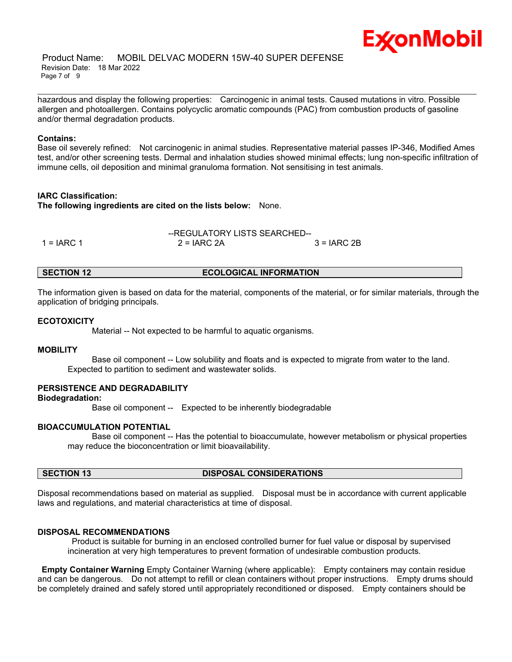hazardous and display the following properties: Carcinogenic in animal tests. Caused mutations in vitro. Possible allergen and photoallergen. Contains polycyclic aromatic compounds (PAC) from combustion products of gasoline and/or thermal degradation products.

\_\_\_\_\_\_\_\_\_\_\_\_\_\_\_\_\_\_\_\_\_\_\_\_\_\_\_\_\_\_\_\_\_\_\_\_\_\_\_\_\_\_\_\_\_\_\_\_\_\_\_\_\_\_\_\_\_\_\_\_\_\_\_\_\_\_\_\_\_\_\_\_\_\_\_\_\_\_\_\_\_\_\_\_\_\_\_\_\_\_\_\_\_\_\_\_\_\_\_\_\_\_\_\_\_\_\_\_\_\_\_\_\_\_\_\_\_\_

Ex⁄onMobil

### **Contains:**

Base oil severely refined: Not carcinogenic in animal studies. Representative material passes IP-346, Modified Ames test, and/or other screening tests. Dermal and inhalation studies showed minimal effects; lung non-specific infiltration of immune cells, oil deposition and minimal granuloma formation. Not sensitising in test animals.

### **IARC Classification:**

**The following ingredients are cited on the lists below:** None.

|               | --REGULATORY LISTS SEARCHED-- |              |  |
|---------------|-------------------------------|--------------|--|
| 1 = $I$ ARC 1 | $2 = IARC 2A$                 | $3 = IARC2B$ |  |

# **SECTION 12 ECOLOGICAL INFORMATION**

The information given is based on data for the material, components of the material, or for similar materials, through the application of bridging principals.

# **ECOTOXICITY**

Material -- Not expected to be harmful to aquatic organisms.

### **MOBILITY**

 Base oil component -- Low solubility and floats and is expected to migrate from water to the land. Expected to partition to sediment and wastewater solids.

# **PERSISTENCE AND DEGRADABILITY**

**Biodegradation:**

Base oil component -- Expected to be inherently biodegradable

# **BIOACCUMULATION POTENTIAL**

 Base oil component -- Has the potential to bioaccumulate, however metabolism or physical properties may reduce the bioconcentration or limit bioavailability.

# **SECTION 13 DISPOSAL CONSIDERATIONS**

Disposal recommendations based on material as supplied. Disposal must be in accordance with current applicable laws and regulations, and material characteristics at time of disposal.

#### **DISPOSAL RECOMMENDATIONS**

Product is suitable for burning in an enclosed controlled burner for fuel value or disposal by supervised incineration at very high temperatures to prevent formation of undesirable combustion products.

**Empty Container Warning** Empty Container Warning (where applicable): Empty containers may contain residue and can be dangerous. Do not attempt to refill or clean containers without proper instructions. Empty drums should be completely drained and safely stored until appropriately reconditioned or disposed. Empty containers should be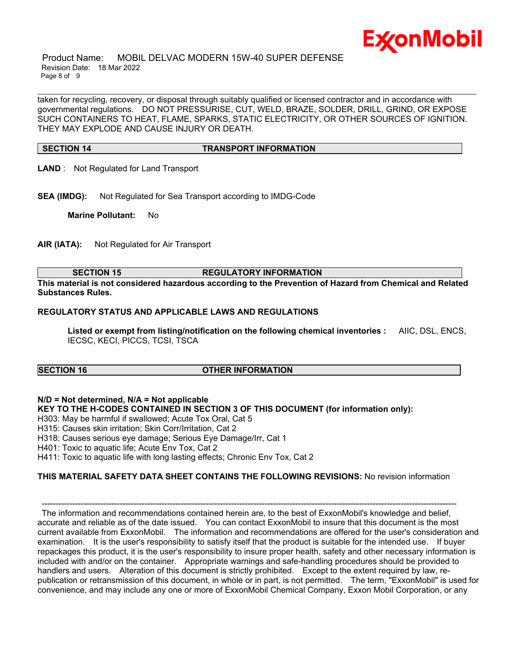

 Product Name: MOBIL DELVAC MODERN 15W-40 SUPER DEFENSE Revision Date: 18 Mar 2022 Page 8 of 9

taken for recycling, recovery, or disposal through suitably qualified or licensed contractor and in accordance with governmental regulations. DO NOT PRESSURISE, CUT, WELD, BRAZE, SOLDER, DRILL, GRIND, OR EXPOSE SUCH CONTAINERS TO HEAT, FLAME, SPARKS, STATIC ELECTRICITY, OR OTHER SOURCES OF IGNITION. THEY MAY EXPLODE AND CAUSE INJURY OR DEATH.

\_\_\_\_\_\_\_\_\_\_\_\_\_\_\_\_\_\_\_\_\_\_\_\_\_\_\_\_\_\_\_\_\_\_\_\_\_\_\_\_\_\_\_\_\_\_\_\_\_\_\_\_\_\_\_\_\_\_\_\_\_\_\_\_\_\_\_\_\_\_\_\_\_\_\_\_\_\_\_\_\_\_\_\_\_\_\_\_\_\_\_\_\_\_\_\_\_\_\_\_\_\_\_\_\_\_\_\_\_\_\_\_\_\_\_\_\_\_

# **SECTION 14 TRANSPORT INFORMATION**

- **LAND** : Not Regulated for Land Transport
- **SEA (IMDG):** Not Regulated for Sea Transport according to IMDG-Code

**Marine Pollutant:** No

**AIR (IATA):** Not Regulated for Air Transport

# **SECTION 15 REGULATORY INFORMATION**

**This material is not considered hazardous according to the Prevention of Hazard from Chemical and Related Substances Rules.**

### **REGULATORY STATUS AND APPLICABLE LAWS AND REGULATIONS**

**Listed or exempt from listing/notification on the following chemical inventories :** AIIC, DSL, ENCS, IECSC, KECI, PICCS, TCSI, TSCA

# **SECTION 16 OTHER INFORMATION**

# **N/D = Not determined, N/A = Not applicable**

# **KEY TO THE H-CODES CONTAINED IN SECTION 3 OF THIS DOCUMENT (for information only):**

H303: May be harmful if swallowed; Acute Tox Oral, Cat 5

H315: Causes skin irritation; Skin Corr/Irritation, Cat 2

H318: Causes serious eye damage; Serious Eye Damage/Irr, Cat 1

H401: Toxic to aquatic life; Acute Env Tox, Cat 2

H411: Toxic to aquatic life with long lasting effects; Chronic Env Tox, Cat 2

# **THIS MATERIAL SAFETY DATA SHEET CONTAINS THE FOLLOWING REVISIONS:** No revision information

----------------------------------------------------------------------------------------------------------------------------------------------------- The information and recommendations contained herein are, to the best of ExxonMobil's knowledge and belief, accurate and reliable as of the date issued. You can contact ExxonMobil to insure that this document is the most current available from ExxonMobil. The information and recommendations are offered for the user's consideration and examination. It is the user's responsibility to satisfy itself that the product is suitable for the intended use. If buyer repackages this product, it is the user's responsibility to insure proper health, safety and other necessary information is included with and/or on the container. Appropriate warnings and safe-handling procedures should be provided to handlers and users. Alteration of this document is strictly prohibited. Except to the extent required by law, republication or retransmission of this document, in whole or in part, is not permitted. The term, "ExxonMobil" is used for convenience, and may include any one or more of ExxonMobil Chemical Company, Exxon Mobil Corporation, or any